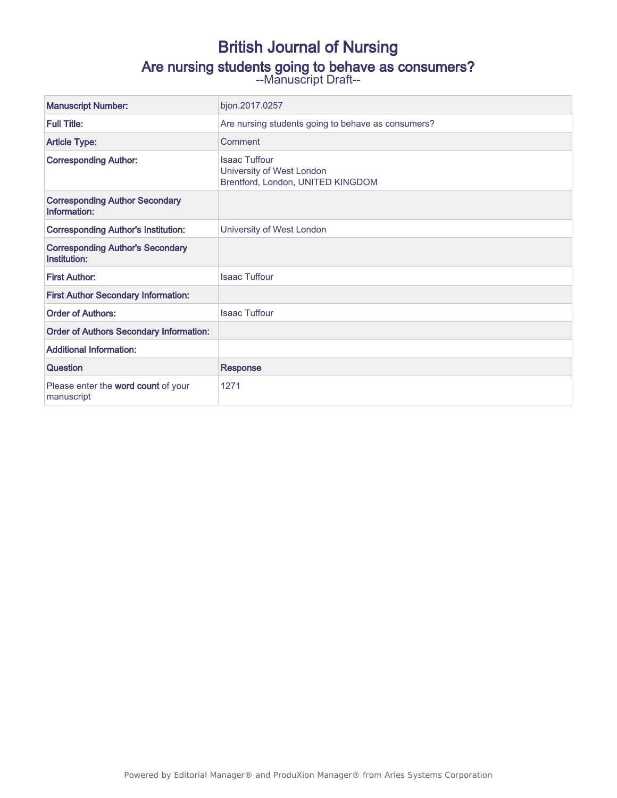# British Journal of Nursing

# Are nursing students going to behave as consumers?

--Manuscript Draft--

| <b>Manuscript Number:</b>                               | bjon.2017.0257                                                                         |
|---------------------------------------------------------|----------------------------------------------------------------------------------------|
| <b>Full Title:</b>                                      | Are nursing students going to behave as consumers?                                     |
| <b>Article Type:</b>                                    | Comment                                                                                |
| <b>Corresponding Author:</b>                            | <b>Isaac Tuffour</b><br>University of West London<br>Brentford, London, UNITED KINGDOM |
| <b>Corresponding Author Secondary</b><br>Information:   |                                                                                        |
| <b>Corresponding Author's Institution:</b>              | University of West London                                                              |
| <b>Corresponding Author's Secondary</b><br>Institution: |                                                                                        |
| <b>First Author:</b>                                    | <b>Isaac Tuffour</b>                                                                   |
| <b>First Author Secondary Information:</b>              |                                                                                        |
| <b>Order of Authors:</b>                                | <b>Isaac Tuffour</b>                                                                   |
| <b>Order of Authors Secondary Information:</b>          |                                                                                        |
| <b>Additional Information:</b>                          |                                                                                        |
| Question                                                | <b>Response</b>                                                                        |
| Please enter the word count of your<br>manuscript       | 1271                                                                                   |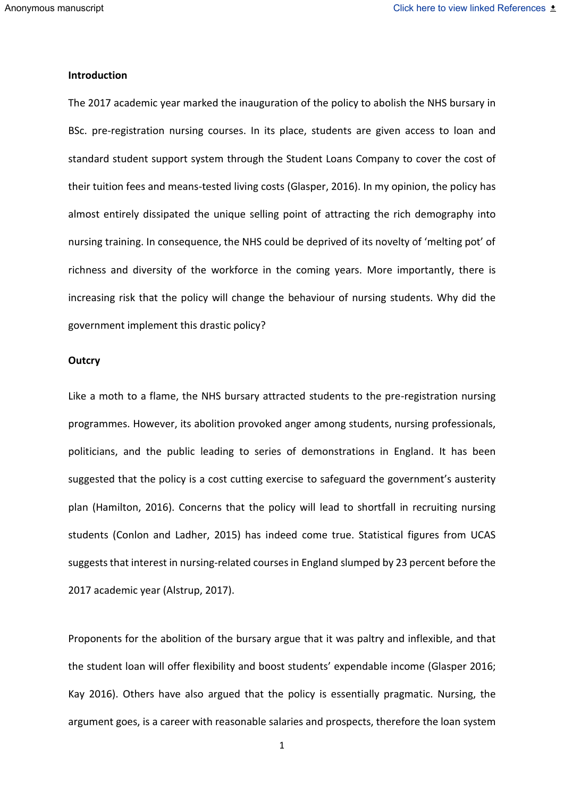#### **Introduction**

The 2017 academic year marked the inauguration of the policy to abolish the NHS bursary in BSc. pre-registration nursing courses. In its place, students are given access to loan and standard student support system through the Student Loans Company to cover the cost of their tuition fees and means-tested living costs (Glasper, 2016). In my opinion, the policy has almost entirely dissipated the unique selling point of attracting the rich demography into nursing training. In consequence, the NHS could be deprived of its novelty of 'melting pot' of richness and diversity of the workforce in the coming years. More importantly, there is increasing risk that the policy will change the behaviour of nursing students. Why did the government implement this drastic policy?

#### **Outcry**

Like a moth to a flame, the NHS bursary attracted students to the pre-registration nursing programmes. However, its abolition provoked anger among students, nursing professionals, politicians, and the public leading to series of demonstrations in England. It has been suggested that the policy is a cost cutting exercise to safeguard the government's austerity plan (Hamilton, 2016). Concerns that the policy will lead to shortfall in recruiting nursing students (Conlon and Ladher, 2015) has indeed come true. Statistical figures from UCAS suggests that interest in nursing-related courses in England slumped by 23 percent before the 2017 academic year (Alstrup, 2017).

Proponents for the abolition of the bursary argue that it was paltry and inflexible, and that the student loan will offer flexibility and boost students' expendable income (Glasper 2016; Kay 2016). Others have also argued that the policy is essentially pragmatic. Nursing, the argument goes, is a career with reasonable salaries and prospects, therefore the loan system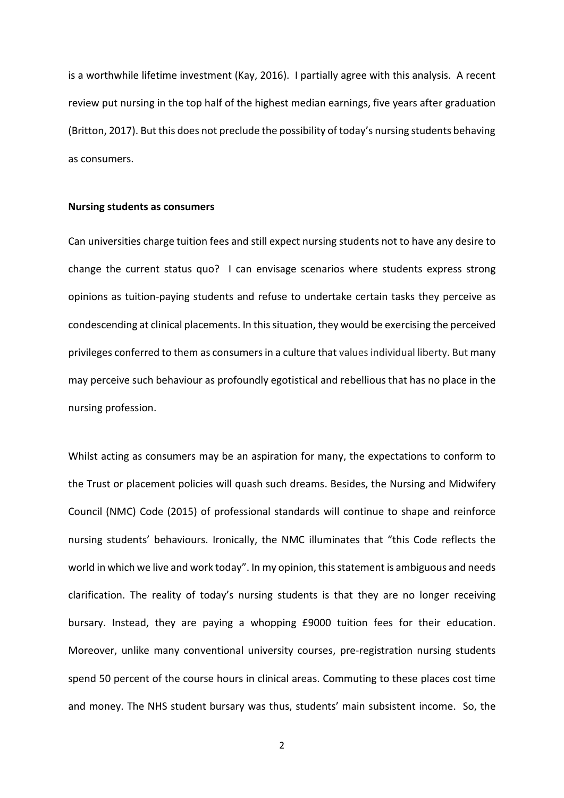is a worthwhile lifetime investment (Kay, 2016). I partially agree with this analysis. A recent review put nursing in the top half of the highest median earnings, five years after graduation (Britton, 2017). But this does not preclude the possibility of today's nursing students behaving as consumers.

#### **Nursing students as consumers**

Can universities charge tuition fees and still expect nursing students not to have any desire to change the current status quo? I can envisage scenarios where students express strong opinions as tuition-paying students and refuse to undertake certain tasks they perceive as condescending at clinical placements. In this situation, they would be exercising the perceived privileges conferred to them as consumers in a culture that values individual liberty. But many may perceive such behaviour as profoundly egotistical and rebellious that has no place in the nursing profession.

Whilst acting as consumers may be an aspiration for many, the expectations to conform to the Trust or placement policies will quash such dreams. Besides, the Nursing and Midwifery Council (NMC) Code (2015) of professional standards will continue to shape and reinforce nursing students' behaviours. Ironically, the NMC illuminates that "this Code reflects the world in which we live and work today". In my opinion, this statement is ambiguous and needs clarification. The reality of today's nursing students is that they are no longer receiving bursary. Instead, they are paying a whopping £9000 tuition fees for their education. Moreover, unlike many conventional university courses, pre-registration nursing students spend 50 percent of the course hours in clinical areas. Commuting to these places cost time and money. The NHS student bursary was thus, students' main subsistent income. So, the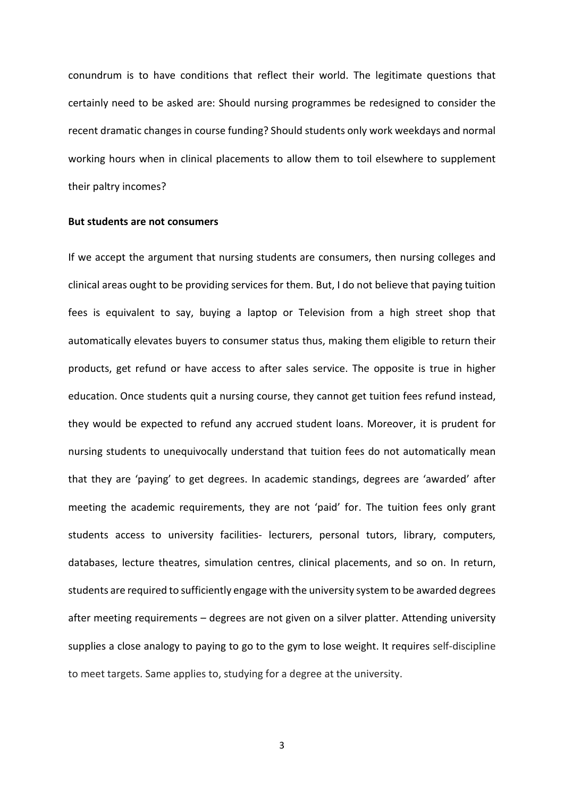conundrum is to have conditions that reflect their world. The legitimate questions that certainly need to be asked are: Should nursing programmes be redesigned to consider the recent dramatic changes in course funding? Should students only work weekdays and normal working hours when in clinical placements to allow them to toil elsewhere to supplement their paltry incomes?

#### **But students are not consumers**

If we accept the argument that nursing students are consumers, then nursing colleges and clinical areas ought to be providing services for them. But, I do not believe that paying tuition fees is equivalent to say, buying a laptop or Television from a high street shop that automatically elevates buyers to consumer status thus, making them eligible to return their products, get refund or have access to after sales service. The opposite is true in higher education. Once students quit a nursing course, they cannot get tuition fees refund instead, they would be expected to refund any accrued student loans. Moreover, it is prudent for nursing students to unequivocally understand that tuition fees do not automatically mean that they are 'paying' to get degrees. In academic standings, degrees are 'awarded' after meeting the academic requirements, they are not 'paid' for. The tuition fees only grant students access to university facilities- lecturers, personal tutors, library, computers, databases, lecture theatres, simulation centres, clinical placements, and so on. In return, students are required to sufficiently engage with the university system to be awarded degrees after meeting requirements – degrees are not given on a silver platter. Attending university supplies a close analogy to paying to go to the gym to lose weight. It requires self-discipline to meet targets. Same applies to, studying for a degree at the university.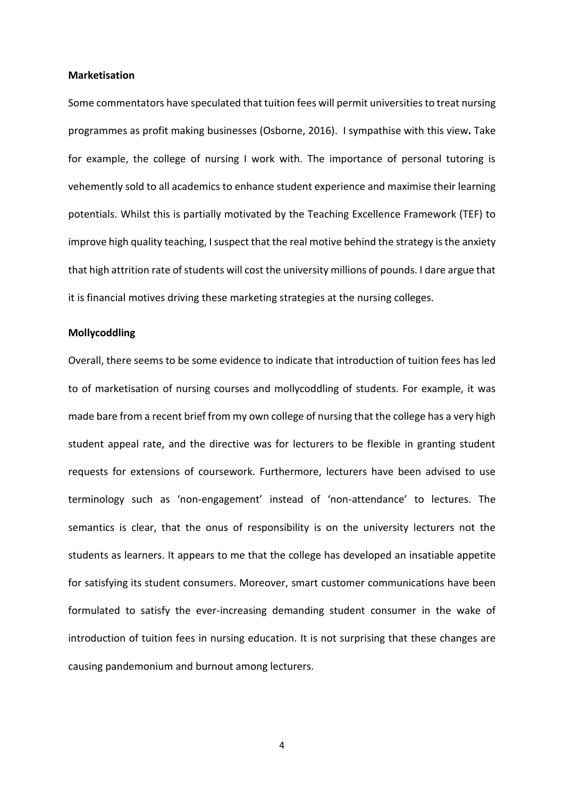#### **Marketisation**

Some commentators have speculated that tuition fees will permit universities to treat nursing programmes as profit making businesses (Osborne, 2016). I sympathise with this view**.** Take for example, the college of nursing I work with. The importance of personal tutoring is vehemently sold to all academics to enhance student experience and maximise their learning potentials. Whilst this is partially motivated by the Teaching Excellence Framework (TEF) to improve high quality teaching, I suspect that the real motive behind the strategy is the anxiety that high attrition rate of students will cost the university millions of pounds. I dare argue that it is financial motives driving these marketing strategies at the nursing colleges.

### **Mollycoddling**

Overall, there seems to be some evidence to indicate that introduction of tuition fees has led to of marketisation of nursing courses and mollycoddling of students. For example, it was made bare from a recent brief from my own college of nursing that the college has a very high student appeal rate, and the directive was for lecturers to be flexible in granting student requests for extensions of coursework. Furthermore, lecturers have been advised to use terminology such as 'non-engagement' instead of 'non-attendance' to lectures. The semantics is clear, that the onus of responsibility is on the university lecturers not the students as learners. It appears to me that the college has developed an insatiable appetite for satisfying its student consumers. Moreover, smart customer communications have been formulated to satisfy the ever-increasing demanding student consumer in the wake of introduction of tuition fees in nursing education. It is not surprising that these changes are causing pandemonium and burnout among lecturers.